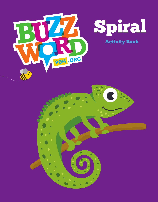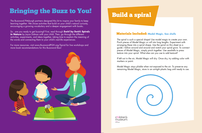# Bringing the Buzz to You!

The Buzzword Pittsburgh partners designed this kit to inspire your family to keep learning together. We chose activities that build on your child's natural curiosity, encouraging a growing vocabulary and a deeper engagement with books.

So...are you ready to get buzzing? First, read through **Swirl by Swirl: Spirals in Nature** by Joyce Sidman with your child. Then, go through the different activities, experiments, and ideas together, taking time to explain the meaning of the words and connecting them to your child's real-life experiences.

For more resources, visit www.BuzzwordPGH.org/Spiral for live workshops and more book recommendations for this Buzzword Box!



## Build a spiral

### Materials Included: **Model Magic, Sea shells**

The spiral is such a special shape! Use model magic to create your own. Pinch pieces of Model Magic or roll into long lengths. Experiment with arranging these into a spiral shape. Use the spiral on this sheet as a guide—follow around and around and watch your spiral grow. To connect pieces of Model Magic, simply pinch together. Use seashells to press texture into your spiral. What else can you use to add texture?

If left out in the air, Model Magic will dry. Once dry, try adding color with markers or paint.

Model Magic stays pliable when not exposed to the air. To preserve any remaining Model Magic, store in an airtight plastic bag until ready to use.

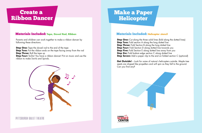### Create a Ribbon Dancer

#### Materials Included: **Tape, Dowel Rod, Ribbon**

Parents and children can work together to make a ribbon dancer by following these directions.

**Step One:** Tape the dowel rod to the end of the tape **Step Two:** Put the ribbon ends on the tape facing away from the rod **Step Three:** Roll the tape up **Step Four:** Ta-Da! You have a ribbon dancer! Put on music and use the ribbon to make Swirls and Spirals.



### Make a Paper Helicopter

**Get Outside!** – Look for some of nature's helicopters outside. Maple tree seeds are shaped like propellers and will spin as they fall to the ground. Can you find any?





### Materials Included: **Helicopter stencil**

**Step One:** Cut along the three solid lines (fold along the dotted lines) **Step Two:** Fold section A along the long dotted line **Step Three:** Fold Section B along the long dotted line **Step Four:** Fold Section D along dotted line towards you **Step Five:** Fold Section E along dotted line away from you **Step Six:** Fold bottom edge section C along dotted line **Step Seven:** Add a paper clip to the end on folded section C (optional)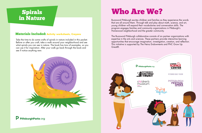### Spirals in Nature

#### Materials Included: **Activity worksheets, Crayons**

Take the time to do some crafts of spirals in nature included in this packet. Before or after you craft, take a walk around your neighborhood and see what spirals you can see in nature. The book has tons of examples, so you can use it for inspiration. After your walk go back through the book and see if notice anything new.





# Who Are We?

Buzzword Pittsburgh excites children and families as they experience the words that are all around them. Through talk and play about math, science, and art, young children will expand their vocabularies and conversation skills. The program engages families and community organizations in Pittsburgh's Homewood neighborhood and the greater community.

The Buzzword Pittsburgh collaborative consists of six partner organizations with expertise in the arts and sciences. These partners provide interactive learning opportunities that encourage imagination, investigation, creation, and reflection. This initiative is supported by The Heinz Endowments and PNC Grow Up Great®.